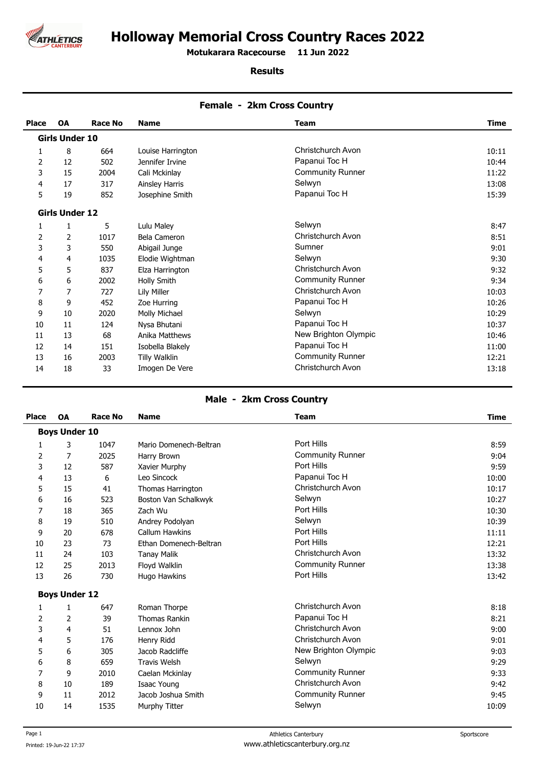

# **Holloway Memorial Cross Country Races 2022**

**Motukarara Racecourse 11 Jun 2022 .** 

#### **Results**

| <b>Place</b> | OA                    | <b>Race No</b> | <b>Name</b>           | <b>Team</b>              | Time  |
|--------------|-----------------------|----------------|-----------------------|--------------------------|-------|
|              | <b>Girls Under 10</b> |                |                       |                          |       |
| 1            | 8                     | 664            | Louise Harrington     | Christchurch Avon        | 10:11 |
| 2            | 12                    | 502            | Jennifer Irvine       | Papanui Toc H            | 10:44 |
| 3            | 15                    | 2004           | Cali Mckinlay         | <b>Community Runner</b>  | 11:22 |
| 4            | 17                    | 317            | <b>Ainsley Harris</b> | Selwyn                   | 13:08 |
| 5            | 19                    | 852            | Josephine Smith       | Papanui Toc H            | 15:39 |
|              | <b>Girls Under 12</b> |                |                       |                          |       |
| 1            | 1                     | 5              | Lulu Maley            | Selwyn                   | 8:47  |
| 2            | 2                     | 1017           | Bela Cameron          | Christchurch Avon        | 8:51  |
| 3            | 3                     | 550            | Abigail Junge         | Sumner                   | 9:01  |
| 4            | 4                     | 1035           | Elodie Wightman       | Selwyn                   | 9:30  |
| 5            | 5                     | 837            | Elza Harrington       | Christchurch Avon        | 9:32  |
| 6            | 6                     | 2002           | Holly Smith           | <b>Community Runner</b>  | 9:34  |
| 7            | 7                     | 727            | Lily Miller           | Christchurch Avon        | 10:03 |
| 8            | 9                     | 452            | Zoe Hurring           | Papanui Toc H            | 10:26 |
| 9            | 10                    | 2020           | Molly Michael         | Selwyn                   | 10:29 |
| 10           | 11                    | 124            | Nysa Bhutani          | Papanui Toc H            | 10:37 |
| 11           | 13                    | 68             | Anika Matthews        | New Brighton Olympic     | 10:46 |
| 12           | 14                    | 151            | Isobella Blakely      | Papanui Toc H            | 11:00 |
| 13           | 16                    | 2003           | Tilly Walklin         | <b>Community Runner</b>  | 12:21 |
| 14           | 18                    | 33             | Imogen De Vere        | <b>Christchurch Avon</b> | 13:18 |

## **Female - 2km Cross Country**

## **Male - 2km Cross Country**

| <b>Place</b> | OA                   | <b>Race No</b> | <b>Name</b>            | <b>Team</b>              | <b>Time</b> |
|--------------|----------------------|----------------|------------------------|--------------------------|-------------|
|              | <b>Boys Under 10</b> |                |                        |                          |             |
| 1            | 3                    | 1047           | Mario Domenech-Beltran | Port Hills               | 8:59        |
| 2            | 7                    | 2025           | Harry Brown            | <b>Community Runner</b>  | 9:04        |
| 3            | 12                   | 587            | Xavier Murphy          | Port Hills               | 9:59        |
| 4            | 13                   | 6              | Leo Sincock            | Papanui Toc H            | 10:00       |
| 5            | 15                   | 41             | Thomas Harrington      | Christchurch Avon        | 10:17       |
| 6            | 16                   | 523            | Boston Van Schalkwyk   | Selwyn                   | 10:27       |
| 7            | 18                   | 365            | Zach Wu                | Port Hills               | 10:30       |
| 8            | 19                   | 510            | Andrey Podolyan        | Selwyn                   | 10:39       |
| 9            | 20                   | 678            | <b>Callum Hawkins</b>  | Port Hills               | 11:11       |
| 10           | 23                   | 73             | Ethan Domenech-Beltran | Port Hills               | 12:21       |
| 11           | 24                   | 103            | <b>Tanay Malik</b>     | Christchurch Avon        | 13:32       |
| 12           | 25                   | 2013           | Floyd Walklin          | <b>Community Runner</b>  | 13:38       |
| 13           | 26                   | 730            | Hugo Hawkins           | Port Hills               | 13:42       |
|              | <b>Boys Under 12</b> |                |                        |                          |             |
| 1            | 1                    | 647            | Roman Thorpe           | Christchurch Avon        | 8:18        |
| 2            | 2                    | 39             | <b>Thomas Rankin</b>   | Papanui Toc H            | 8:21        |
| 3            | 4                    | 51             | Lennox John            | <b>Christchurch Avon</b> | 9:00        |
| 4            | 5                    | 176            | Henry Ridd             | Christchurch Avon        | 9:01        |
| 5            | 6                    | 305            | Jacob Radcliffe        | New Brighton Olympic     | 9:03        |
| 6            | 8                    | 659            | <b>Travis Welsh</b>    | Selwyn                   | 9:29        |
| 7            | 9                    | 2010           | Caelan Mckinlay        | <b>Community Runner</b>  | 9:33        |
| 8            | 10                   | 189            | Isaac Young            | Christchurch Avon        | 9:42        |
| 9            | 11                   | 2012           | Jacob Joshua Smith     | <b>Community Runner</b>  | 9:45        |
| 10           | 14                   | 1535           | Murphy Titter          | Selwyn                   | 10:09       |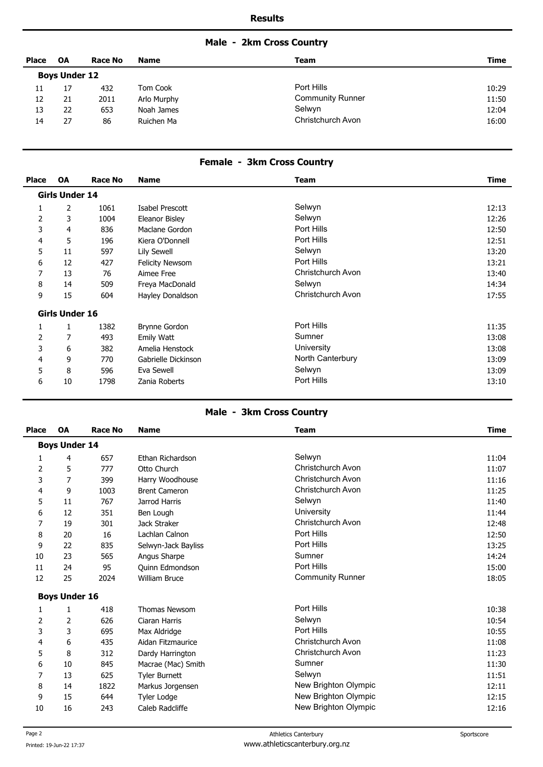# **Male - 2km Cross Country**

| Place | <b>OA</b>            | <b>Race No</b> | <b>Name</b> | Team                    | Time  |
|-------|----------------------|----------------|-------------|-------------------------|-------|
|       | <b>Boys Under 12</b> |                |             |                         |       |
| 11    | 17                   | 432            | Tom Cook    | Port Hills              | 10:29 |
| 12    | 21                   | 2011           | Arlo Murphy | <b>Community Runner</b> | 11:50 |
| 13    | 22                   | 653            | Noah James  | Selwyn                  | 12:04 |
| 14    | 27                   | 86             | Ruichen Ma  | Christchurch Avon       | 16:00 |

## **Female - 3km Cross Country**

| <b>Place</b> | <b>OA</b>             | <b>Race No</b> | <b>Name</b>            | Team              | <b>Time</b> |
|--------------|-----------------------|----------------|------------------------|-------------------|-------------|
|              | <b>Girls Under 14</b> |                |                        |                   |             |
| 1            | 2                     | 1061           | Isabel Prescott        | Selwyn            | 12:13       |
| 2            | 3                     | 1004           | Eleanor Bisley         | Selwyn            | 12:26       |
| 3            | 4                     | 836            | Maclane Gordon         | Port Hills        | 12:50       |
| 4            | 5                     | 196            | Kiera O'Donnell        | Port Hills        | 12:51       |
| 5            | 11                    | 597            | Lily Sewell            | Selwyn            | 13:20       |
| 6            | 12                    | 427            | <b>Felicity Newsom</b> | Port Hills        | 13:21       |
| 7            | 13                    | 76             | Aimee Free             | Christchurch Avon | 13:40       |
| 8            | 14                    | 509            | Freya MacDonald        | Selwyn            | 14:34       |
| 9            | 15                    | 604            | Hayley Donaldson       | Christchurch Avon | 17:55       |
|              | Girls Under 16        |                |                        |                   |             |
| 1            |                       | 1382           | <b>Brynne Gordon</b>   | Port Hills        | 11:35       |
| 2            | 7                     | 493            | Emily Watt             | Sumner            | 13:08       |
| 3            | 6                     | 382            | Amelia Henstock        | University        | 13:08       |
| 4            | 9                     | 770            | Gabrielle Dickinson    | North Canterbury  | 13:09       |
| 5            | 8                     | 596            | Eva Sewell             | Selwyn            | 13:09       |
| 6            | 10                    | 1798           | Zania Roberts          | Port Hills        | 13:10       |

## **Male - 3km Cross Country**

| <b>Place</b> | OA                   | <b>Race No</b> | <b>Name</b>          | <b>Team</b>              | <b>Time</b> |
|--------------|----------------------|----------------|----------------------|--------------------------|-------------|
|              | <b>Boys Under 14</b> |                |                      |                          |             |
| 1            | 4                    | 657            | Ethan Richardson     | Selwyn                   | 11:04       |
| 2            | 5                    | 777            | Otto Church          | Christchurch Avon        | 11:07       |
| 3            | 7                    | 399            | Harry Woodhouse      | <b>Christchurch Avon</b> | 11:16       |
| 4            | 9                    | 1003           | <b>Brent Cameron</b> | Christchurch Avon        | 11:25       |
| 5            | 11                   | 767            | Jarrod Harris        | Selwyn                   | 11:40       |
| 6            | 12                   | 351            | Ben Lough            | University               | 11:44       |
| 7            | 19                   | 301            | Jack Straker         | Christchurch Avon        | 12:48       |
| 8            | 20                   | 16             | Lachlan Calnon       | Port Hills               | 12:50       |
| 9            | 22                   | 835            | Selwyn-Jack Bayliss  | Port Hills               | 13:25       |
| 10           | 23                   | 565            | Angus Sharpe         | Sumner                   | 14:24       |
| 11           | 24                   | 95             | Quinn Edmondson      | Port Hills               | 15:00       |
| 12           | 25                   | 2024           | <b>William Bruce</b> | <b>Community Runner</b>  | 18:05       |
|              | <b>Boys Under 16</b> |                |                      |                          |             |
| 1            | 1                    | 418            | <b>Thomas Newsom</b> | Port Hills               | 10:38       |
| 2            | 2                    | 626            | Ciaran Harris        | Selwyn                   | 10:54       |
| 3            | 3                    | 695            | Max Aldridge         | Port Hills               | 10:55       |
| 4            | 6                    | 435            | Aidan Fitzmaurice    | <b>Christchurch Avon</b> | 11:08       |
| 5            | 8                    | 312            | Dardy Harrington     | <b>Christchurch Avon</b> | 11:23       |
| 6            | 10                   | 845            | Macrae (Mac) Smith   | Sumner                   | 11:30       |
| 7            | 13                   | 625            | <b>Tyler Burnett</b> | Selwyn                   | 11:51       |
| 8            | 14                   | 1822           | Markus Jorgensen     | New Brighton Olympic     | 12:11       |
| 9            | 15                   | 644            | <b>Tyler Lodge</b>   | New Brighton Olympic     | 12:15       |
| 10           | 16                   | 243            | Caleb Radcliffe      | New Brighton Olympic     | 12:16       |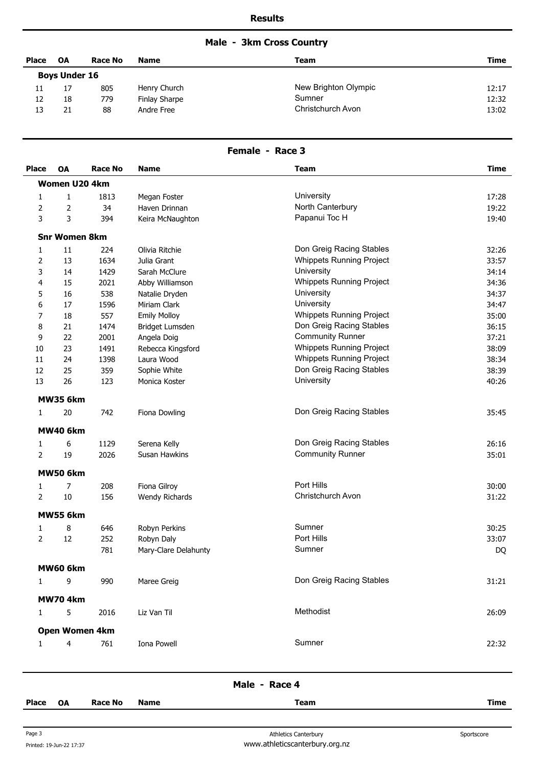# **Male - 3km Cross Country**

| <b>Place</b> | <b>OA</b>            | <b>Race No</b> | <b>Name</b>   | Team                 | <b>Time</b> |
|--------------|----------------------|----------------|---------------|----------------------|-------------|
|              | <b>Boys Under 16</b> |                |               |                      |             |
| 11           |                      | 805            | Henry Church  | New Brighton Olympic | 12:17       |
| 12           | 18                   | 779            | Finlay Sharpe | Sumner               | 12:32       |
| 13           | 21                   | 88             | Andre Free    | Christchurch Avon    | 13:02       |

#### **Female - Race 3**

| <b>Place</b>   | <b>OA</b>            | <b>Race No</b> | <b>Name</b>          | <b>Team</b>                     | <b>Time</b> |
|----------------|----------------------|----------------|----------------------|---------------------------------|-------------|
|                | <b>Women U20 4km</b> |                |                      |                                 |             |
| 1              | $\mathbf{1}$         | 1813           | Megan Foster         | University                      | 17:28       |
| 2              | 2                    | 34             | Haven Drinnan        | North Canterbury                | 19:22       |
| 3              | 3                    | 394            | Keira McNaughton     | Papanui Toc H                   | 19:40       |
|                | <b>Snr Women 8km</b> |                |                      |                                 |             |
| 1              | 11                   | 224            | Olivia Ritchie       | Don Greig Racing Stables        | 32:26       |
| 2              | 13                   | 1634           | Julia Grant          | <b>Whippets Running Project</b> | 33:57       |
| 3              | 14                   | 1429           | Sarah McClure        | University                      | 34:14       |
| 4              | 15                   | 2021           | Abby Williamson      | <b>Whippets Running Project</b> | 34:36       |
| 5              | 16                   | 538            | Natalie Dryden       | University                      | 34:37       |
| 6              | 17                   | 1596           | Miriam Clark         | University                      | 34:47       |
| 7              | 18                   | 557            | <b>Emily Molloy</b>  | <b>Whippets Running Project</b> | 35:00       |
| 8              | 21                   | 1474           | Bridget Lumsden      | Don Greig Racing Stables        | 36:15       |
| 9              | 22                   | 2001           | Angela Doig          | <b>Community Runner</b>         | 37:21       |
| 10             | 23                   | 1491           | Rebecca Kingsford    | <b>Whippets Running Project</b> | 38:09       |
| 11             | 24                   | 1398           | Laura Wood           | <b>Whippets Running Project</b> | 38:34       |
| 12             | 25                   | 359            | Sophie White         | Don Greig Racing Stables        | 38:39       |
| 13             | 26                   | 123            | Monica Koster        | University                      | 40:26       |
|                | <b>MW35 6km</b>      |                |                      |                                 |             |
| 1              | 20                   | 742            | Fiona Dowling        | Don Greig Racing Stables        | 35:45       |
|                | <b>MW40 6km</b>      |                |                      |                                 |             |
| 1              | 6                    | 1129           | Serena Kelly         | Don Greig Racing Stables        | 26:16       |
| $\overline{2}$ | 19                   | 2026           | Susan Hawkins        | <b>Community Runner</b>         | 35:01       |
|                | <b>MW50 6km</b>      |                |                      |                                 |             |
| 1              | 7                    | 208            | Fiona Gilroy         | Port Hills                      | 30:00       |
| $\overline{2}$ | $10\,$               | 156            | Wendy Richards       | Christchurch Avon               | 31:22       |
|                | <b>MW55 6km</b>      |                |                      |                                 |             |
| 1              | 8                    | 646            | Robyn Perkins        | Sumner                          | 30:25       |
| $\overline{2}$ | 12                   | 252            | Robyn Daly           | Port Hills                      | 33:07       |
|                |                      | 781            | Mary-Clare Delahunty | Sumner                          | DQ          |
|                | MW60 6km             |                |                      |                                 |             |
| $\mathbf{1}$   | 9                    | 990            | Maree Greig          | Don Greig Racing Stables        | 31:21       |
|                | <b>MW704km</b>       |                |                      |                                 |             |
| $\mathbf{1}$   | 5                    | 2016           | Liz Van Til          | Methodist                       | 26:09       |
|                |                      | Open Women 4km |                      |                                 |             |
| $\mathbf{1}$   | 4                    | 761            | Iona Powell          | Sumner                          | 22:32       |
|                |                      |                |                      |                                 |             |

| Male | Race 4 |
|------|--------|
|------|--------|

**Place OA Race No Name Team Time**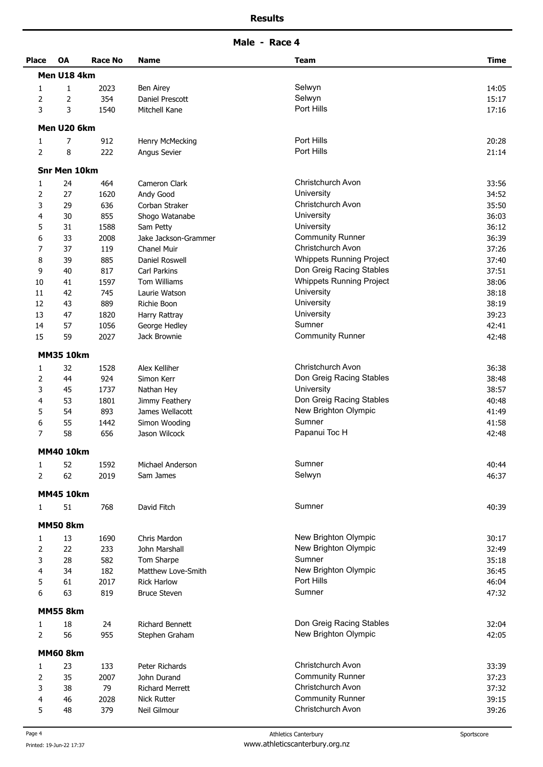**Male - Race 4** 

| <b>Place</b>   | <b>OA</b>           | Race No | <b>Name</b>            | <b>Team</b>                     | <b>Time</b> |
|----------------|---------------------|---------|------------------------|---------------------------------|-------------|
|                | Men U18 4km         |         |                        |                                 |             |
| 1              | $\mathbf{1}$        | 2023    | Ben Airey              | Selwyn                          | 14:05       |
| 2              | 2                   | 354     | Daniel Prescott        | Selwyn                          | 15:17       |
| 3              | 3                   | 1540    | Mitchell Kane          | Port Hills                      | 17:16       |
|                | Men U20 6km         |         |                        |                                 |             |
| 1              | 7                   | 912     | Henry McMecking        | Port Hills                      | 20:28       |
| $\overline{2}$ | 8                   | 222     | Angus Sevier           | Port Hills                      | 21:14       |
|                | <b>Snr Men 10km</b> |         |                        |                                 |             |
| 1              | 24                  | 464     | Cameron Clark          | Christchurch Avon               | 33:56       |
| $\overline{2}$ | 27                  | 1620    | Andy Good              | University                      | 34:52       |
| 3              | 29                  | 636     | Corban Straker         | Christchurch Avon               | 35:50       |
| 4              | 30                  | 855     | Shogo Watanabe         | University                      | 36:03       |
| 5              | 31                  | 1588    | Sam Petty              | University                      | 36:12       |
| 6              | 33                  | 2008    | Jake Jackson-Grammer   | <b>Community Runner</b>         | 36:39       |
| 7              | 37                  | 119     | Chanel Muir            | Christchurch Avon               | 37:26       |
| 8              | 39                  | 885     | Daniel Roswell         | <b>Whippets Running Project</b> | 37:40       |
| 9              | 40                  | 817     | Carl Parkins           | Don Greig Racing Stables        | 37:51       |
| 10             | 41                  | 1597    | <b>Tom Williams</b>    | <b>Whippets Running Project</b> | 38:06       |
| 11             | 42                  | 745     | Laurie Watson          | University                      | 38:18       |
| 12             | 43                  | 889     | Richie Boon            | University                      | 38:19       |
| 13             | 47                  | 1820    | Harry Rattray          | University                      | 39:23       |
| 14             | 57                  | 1056    | George Hedley          | Sumner                          | 42:41       |
| 15             | 59                  | 2027    | Jack Brownie           | <b>Community Runner</b>         | 42:48       |
|                | <b>MM35 10km</b>    |         |                        |                                 |             |
|                |                     |         |                        |                                 |             |
| 1              | 32                  | 1528    | Alex Kelliher          | Christchurch Avon               | 36:38       |
| 2              | 44                  | 924     | Simon Kerr             | Don Greig Racing Stables        | 38:48       |
| 3              | 45                  | 1737    | Nathan Hey             | University                      | 38:57       |
| 4              | 53                  | 1801    | Jimmy Feathery         | Don Greig Racing Stables        | 40:48       |
| 5              | 54                  | 893     | James Wellacott        | New Brighton Olympic            | 41:49       |
| 6              | 55                  | 1442    | Simon Wooding          | Sumner                          | 41:58       |
| 7              | 58                  | 656     | Jason Wilcock          | Papanui Toc H                   | 42:48       |
|                | <b>MM40 10km</b>    |         |                        |                                 |             |
| 1              | 52                  | 1592    | Michael Anderson       | Sumner                          | 40:44       |
| 2              | 62                  | 2019    | Sam James              | Selwyn                          | 46:37       |
|                | <b>MM45 10km</b>    |         |                        |                                 |             |
| $\mathbf{1}$   | 51                  | 768     | David Fitch            | Sumner                          | 40:39       |
|                | <b>MM50 8km</b>     |         |                        |                                 |             |
| 1              | 13                  | 1690    | Chris Mardon           | New Brighton Olympic            | 30:17       |
| $\overline{2}$ | 22                  | 233     | John Marshall          | New Brighton Olympic            | 32:49       |
| 3              | 28                  | 582     | Tom Sharpe             | Sumner                          | 35:18       |
| 4              | 34                  | 182     | Matthew Love-Smith     | New Brighton Olympic            | 36:45       |
| 5              | 61                  | 2017    | <b>Rick Harlow</b>     | Port Hills                      | 46:04       |
| 6              | 63                  | 819     | <b>Bruce Steven</b>    | Sumner                          | 47:32       |
|                | <b>MM55 8km</b>     |         |                        |                                 |             |
| 1              | 18                  | 24      | <b>Richard Bennett</b> | Don Greig Racing Stables        | 32:04       |
| $\overline{2}$ | 56                  | 955     | Stephen Graham         | New Brighton Olympic            | 42:05       |
|                | <b>MM60 8km</b>     |         |                        |                                 |             |
| 1              | 23                  | 133     | Peter Richards         | <b>Christchurch Avon</b>        | 33:39       |
| 2              | 35                  | 2007    | John Durand            | <b>Community Runner</b>         | 37:23       |
| 3              | 38                  | 79      | <b>Richard Merrett</b> | Christchurch Avon               | 37:32       |
| 4              | 46                  | 2028    | <b>Nick Rutter</b>     | <b>Community Runner</b>         | 39:15       |
| 5              | 48                  | 379     | Neil Gilmour           | Christchurch Avon               | 39:26       |